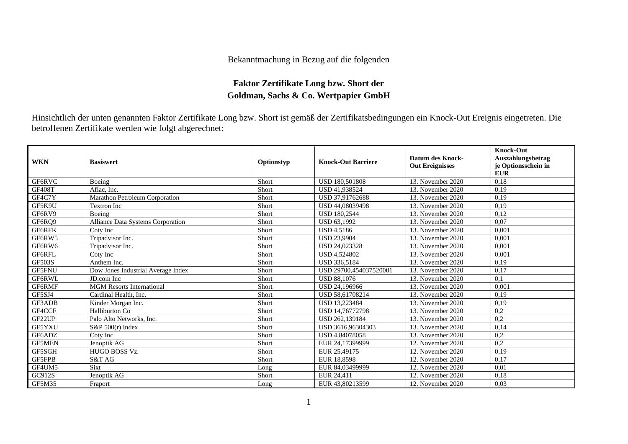## Bekanntmachung in Bezug auf die folgenden

## **Faktor Zertifikate Long bzw. Short der Goldman, Sachs & Co. Wertpapier GmbH**

Hinsichtlich der unten genannten Faktor Zertifikate Long bzw. Short ist gemäß der Zertifikatsbedingungen ein Knock-Out Ereignis eingetreten. Die betroffenen Zertifikate werden wie folgt abgerechnet:

| <b>WKN</b>    | <b>Basiswert</b>                   | Optionstyp | <b>Knock-Out Barriere</b> | <b>Datum des Knock-</b><br><b>Out Ereignisses</b> | <b>Knock-Out</b><br>Auszahlungsbetrag<br>je Optionsschein in<br><b>EUR</b> |
|---------------|------------------------------------|------------|---------------------------|---------------------------------------------------|----------------------------------------------------------------------------|
| GF6RVC        | Boeing                             | Short      | <b>USD 180,501808</b>     | 13. November 2020                                 | 0,18                                                                       |
| <b>GF408T</b> | Aflac, Inc.                        | Short      | USD 41,938524             | 13. November 2020                                 | 0,19                                                                       |
| GF4C7Y        | Marathon Petroleum Corporation     | Short      | USD 37,91762688           | 13. November 2020                                 | 0,19                                                                       |
| GF5K9U        | Textron Inc                        | Short      | USD 44,08039498           | 13. November 2020                                 | 0,19                                                                       |
| GF6RV9        | Boeing                             | Short      | <b>USD 180,2544</b>       | 13. November 2020                                 | 0,12                                                                       |
| GF6RQ9        | Alliance Data Systems Corporation  | Short      | <b>USD 63,1992</b>        | 13. November 2020                                 | 0,07                                                                       |
| GF6RFK        | Coty Inc                           | Short      | <b>USD 4,5186</b>         | 13. November 2020                                 | 0,001                                                                      |
| GF6RW5        | Tripadvisor Inc.                   | Short      | <b>USD 23.9904</b>        | 13. November 2020                                 | 0,001                                                                      |
| GF6RW6        | Tripadvisor Inc.                   | Short      | <b>USD 24.023328</b>      | 13. November 2020                                 | 0.001                                                                      |
| GF6RFL        | Coty Inc                           | Short      | <b>USD 4,524802</b>       | 13. November 2020                                 | 0.001                                                                      |
| <b>GF503S</b> | Anthem Inc.                        | Short      | <b>USD 336.5184</b>       | 13. November 2020                                 | 0,19                                                                       |
| GF5FNU        | Dow Jones Industrial Average Index | Short      | USD 29700,454037520001    | 13. November 2020                                 | 0,17                                                                       |
| GF6RWL        | JD.com Inc                         | Short      | <b>USD 88,1076</b>        | 13. November 2020                                 | 0,1                                                                        |
| GF6RMF        | <b>MGM</b> Resorts International   | Short      | USD 24,196966             | 13. November 2020                                 | 0,001                                                                      |
| GF5SJ4        | Cardinal Health, Inc.              | Short      | USD 58,61708214           | 13. November 2020                                 | 0,19                                                                       |
| GF3ADB        | Kinder Morgan Inc.                 | Short      | USD 13,223484             | 13. November 2020                                 | 0,19                                                                       |
| GF4CCF        | Halliburton Co                     | Short      | USD 14,76772798           | 13. November 2020                                 | 0,2                                                                        |
| GF22UP        | Palo Alto Networks, Inc.           | Short      | USD 262,139184            | 13. November 2020                                 | 0,2                                                                        |
| GF5YXU        | $S\&P 500(r)$ Index                | Short      | USD 3616,96304303         | 13. November 2020                                 | 0,14                                                                       |
| GF6ADZ        | Coty Inc                           | Short      | USD 4,84078058            | 13. November 2020                                 | 0,2                                                                        |
| <b>GF5MEN</b> | Jenoptik AG                        | Short      | EUR 24,17399999           | 12. November 2020                                 | 0,2                                                                        |
| GF5SGH        | HUGO BOSS Vz.                      | Short      | EUR 25,49175              | 12. November 2020                                 | 0,19                                                                       |
| <b>GF5FPB</b> | S&T AG                             | Short      | EUR 18,8598               | 12. November 2020                                 | 0,17                                                                       |
| GF4UM5        | <b>Sixt</b>                        | Long       | EUR 84,03499999           | 12. November 2020                                 | 0,01                                                                       |
| GC912S        | Jenoptik AG                        | Short      | EUR 24,411                | 12. November 2020                                 | 0,18                                                                       |
| <b>GF5M35</b> | Fraport                            | Long       | EUR 43,80213599           | 12. November 2020                                 | 0,03                                                                       |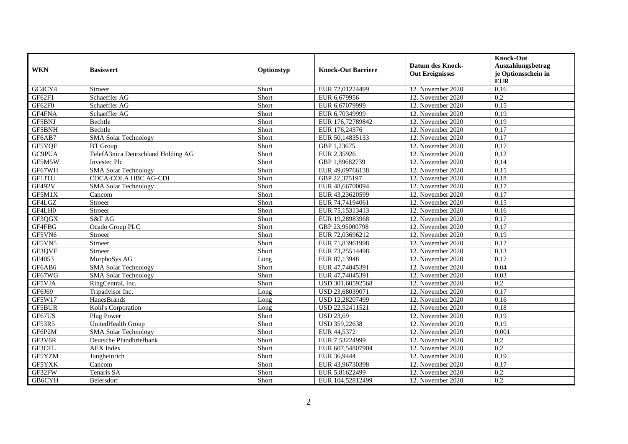| <b>WKN</b>    | <b>Basiswert</b>                   | Optionstyp | <b>Knock-Out Barriere</b> | <b>Datum des Knock-</b><br><b>Out Ereignisses</b> | <b>Knock-Out</b><br>Auszahlungsbetrag<br>je Optionsschein in<br><b>EUR</b> |
|---------------|------------------------------------|------------|---------------------------|---------------------------------------------------|----------------------------------------------------------------------------|
| GC4CY4        | Stroeer                            | Short      | EUR 72,01224499           | 12. November 2020                                 | 0,16                                                                       |
| GF62F1        | Schaeffler AG                      | Short      | EUR 6,679956              | 12. November 2020                                 | 0,2                                                                        |
| GF62F0        | Schaeffler AG                      | Short      | EUR 6,67079999            | 12. November 2020                                 | 0,15                                                                       |
| GF4FNA        | Schaeffler AG                      | Short      | EUR 6,70349999            | 12. November 2020                                 | 0,19                                                                       |
| GF5BNJ        | Bechtle                            | Short      | EUR 176,72789842          | 12. November 2020                                 | 0,19                                                                       |
| GF5BNH        | Bechtle                            | Short      | EUR 176,24376             | 12. November 2020                                 | 0,17                                                                       |
| GF6AB7        | <b>SMA Solar Technology</b>        | Short      | EUR 50,14835133           | 12. November 2020                                 | 0,17                                                                       |
| GF5VQF        | <b>BT</b> Group                    | Short      | GBP 1,23675               | 12. November 2020                                 | 0,17                                                                       |
| GC9PUA        | TelefÃ3nica Deutschland Holding AG | Short      | EUR 2,35926               | 12. November 2020                                 | 0,12                                                                       |
| GF5M5W        | <b>Invested Plc</b>                | Short      | GBP 1,89682739            | 12. November 2020                                 | 0,14                                                                       |
| GF67WH        | <b>SMA Solar Technology</b>        | Short      | EUR 49,09766138           | 12. November 2020                                 | 0,15                                                                       |
| <b>GF1JTU</b> | <b>COCA-COLA HBC AG-CDI</b>        | Short      | GBP 22,375197             | 12. November 2020                                 | 0,18                                                                       |
| GF492V        | <b>SMA Solar Technology</b>        | Short      | EUR 48,66700094           | 12. November 2020                                 | 0,17                                                                       |
| GF5M1X        | Cancom                             | Short      | EUR 43,23620599           | 12. November 2020                                 | 0,17                                                                       |
| GF4LGZ        | Stroeer                            | Short      | EUR 74,74194061           | 12. November 2020                                 | 0,15                                                                       |
| GF4LH0        | Stroeer                            | Short      | EUR 75,15313413           | 12. November 2020                                 | 0,16                                                                       |
| GF3QGX        | S&T AG                             | Short      | EUR 19,28983968           | 12. November 2020                                 | 0.17                                                                       |
| GF4FBG        | Ocado Group PLC                    | Short      | GBP 23,95000798           | 12. November 2020                                 | 0,17                                                                       |
| GF5VN6        | Stroeer                            | Short      | EUR 72,03696212           | 12. November 2020                                 | 0,19                                                                       |
| GF5VN5        | Stroeer                            | Short      | EUR 71,83961998           | 12. November 2020                                 | 0,17                                                                       |
| GF3QVF        | Stroeer                            | Short      | EUR 73,25514498           | 12. November 2020                                 | 0,13                                                                       |
| GF4053        | MorphoSys AG                       | Long       | EUR 87,13948              | 12. November 2020                                 | 0,17                                                                       |
| GF6AB6        | <b>SMA Solar Technology</b>        | Short      | EUR 47,74045391           | 12. November 2020                                 | 0,04                                                                       |
| GF67WG        | <b>SMA Solar Technology</b>        | Short      | EUR 47.74045391           | 12. November 2020                                 | 0,03                                                                       |
| GF5VJA        | RingCentral, Inc.                  | Short      | USD 301,60592568          | 12. November 2020                                 | 0,2                                                                        |
| GF6J69        | Tripadvisor Inc.                   | Long       | USD 23,68039071           | 12. November 2020                                 | 0,17                                                                       |
| GF5W17        | HanesBrands                        | Long       | USD 12,28207499           | 12. November 2020                                 | 0,16                                                                       |
| <b>GF5BUR</b> | Kohl's Corporation                 | Long       | USD 22,52411521           | 12. November 2020                                 | 0,18                                                                       |
| GF67US        | Plug Power                         | Short      | <b>USD 23,69</b>          | 12. November 2020                                 | 0,19                                                                       |
| GF53R5        | UnitedHealth Group                 | Short      | USD 359,22638             | 12. November 2020                                 | 0,19                                                                       |
| GF6P2M        | <b>SMA Solar Technology</b>        | Short      | EUR 44,5372               | 12. November 2020                                 | 0,001                                                                      |
| GF3V6R        | Deutsche Pfandbriefbank            | Short      | EUR 7,53224999            | 12. November 2020                                 | 0,2                                                                        |
| GF3CFL        | <b>AEX</b> Index                   | Short      | EUR 607,54807904          | 12. November 2020                                 | 0,2                                                                        |
| GF5YZM        | Jungheinrich                       | Short      | EUR 36,9444               | 12. November 2020                                 | 0,19                                                                       |
| GF5YXK        | Cancom                             | Short      | EUR 43,96730398           | 12. November 2020                                 | 0,17                                                                       |
| GF32FW        | Tenaris SA                         | Short      | EUR 5,81622499            | 12. November 2020                                 | 0,2                                                                        |
| GB6CYH        | Beiersdorf                         | Short      | EUR 104,52812499          | 12. November 2020                                 | 0,2                                                                        |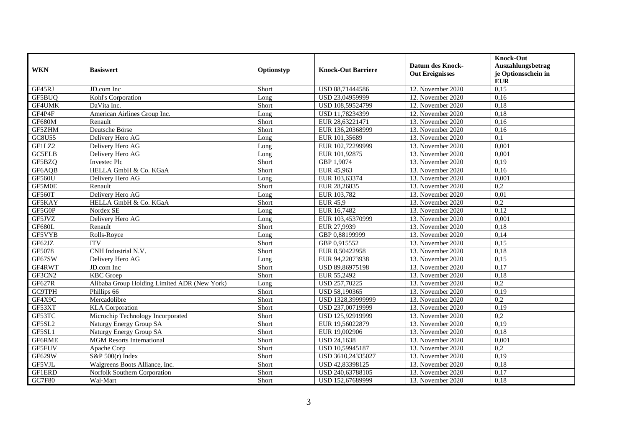| <b>WKN</b>    | <b>Basiswert</b>                             | Optionstyp | <b>Knock-Out Barriere</b> | <b>Datum des Knock-</b><br><b>Out Ereignisses</b> | <b>Knock-Out</b><br>Auszahlungsbetrag<br>je Optionsschein in<br><b>EUR</b> |
|---------------|----------------------------------------------|------------|---------------------------|---------------------------------------------------|----------------------------------------------------------------------------|
| GF45RJ        | JD.com Inc                                   | Short      | USD 88,71444586           | 12. November 2020                                 | 0,15                                                                       |
| GF5BUQ        | Kohl's Corporation                           | Long       | USD 23,04959999           | 12. November 2020                                 | 0,16                                                                       |
| GF4UMK        | DaVita Inc.                                  | Short      | USD 108,59524799          | 12. November 2020                                 | 0,18                                                                       |
| GF4P4F        | American Airlines Group Inc.                 | Long       | USD 11,78234399           | 12. November 2020                                 | 0,18                                                                       |
| GF680M        | Renault                                      | Short      | EUR 28,63221471           | 13. November 2020                                 | 0,16                                                                       |
| GF5ZHM        | Deutsche Börse                               | Short      | EUR 136,20368999          | 13. November 2020                                 | 0,16                                                                       |
| <b>GC8U55</b> | Delivery Hero AG                             | Long       | EUR 101,35689             | 13. November 2020                                 | 0,1                                                                        |
| GF1LZ2        | Delivery Hero AG                             | Long       | EUR 102,72299999          | 13. November 2020                                 | 0,001                                                                      |
| <b>GC5ELB</b> | Delivery Hero AG                             | Long       | EUR 101,92875             | 13. November $2020$                               | 0,001                                                                      |
| GF5BZQ        | <b>Invested Plc</b>                          | Short      | GBP 1,9074                | 13. November 2020                                 | 0,19                                                                       |
| GF6AQB        | HELLA GmbH & Co. KGaA                        | Short      | EUR 45,963                | 13. November 2020                                 | 0,16                                                                       |
| <b>GF560U</b> | Delivery Hero AG                             | Long       | EUR 103,63374             | 13. November 2020                                 | 0,001                                                                      |
| GF5M0E        | Renault                                      | Short      | EUR 28,26835              | 13. November 2020                                 | 0,2                                                                        |
| GF560T        | Delivery Hero AG                             | Long       | EUR 103,782               | 13. November 2020                                 | 0,01                                                                       |
| GF5KAY        | HELLA GmbH & Co. KGaA                        | Short      | <b>EUR 45,9</b>           | 13. November 2020                                 | 0,2                                                                        |
| GF5G0P        | Nordex SE                                    | Long       | EUR 16,7482               | 13. November 2020                                 | 0,12                                                                       |
| GF5JVZ        | Delivery Hero AG                             | Long       | EUR 103.45370999          | 13. November 2020                                 | 0,001                                                                      |
| GF680L        | Renault                                      | Short      | EUR 27,9939               | 13. November 2020                                 | 0,18                                                                       |
| GF5VYB        | Rolls-Royce                                  | Long       | GBP 0,88199999            | 13. November 2020                                 | 0,14                                                                       |
| GF62JZ        | <b>ITV</b>                                   | Short      | GBP 0,915552              | 13. November 2020                                 | 0,15                                                                       |
| GF5078        | CNH Industrial N.V.                          | Short      | EUR 8,50422958            | 13. November 2020                                 | 0,18                                                                       |
| GF67SW        | Delivery Hero AG                             | Long       | EUR 94,22073938           | 13. November 2020                                 | 0,15                                                                       |
| GF4RWT        | JD.com Inc                                   | Short      | USD 89,86975198           | 13. November 2020                                 | 0,17                                                                       |
| GF3CN2        | <b>KBC</b> Groep                             | Short      | EUR 55,2492               | 13. November 2020                                 | 0,18                                                                       |
| GF627R        | Alibaba Group Holding Limited ADR (New York) | Long       | USD 257,70225             | 13. November 2020                                 | 0,2                                                                        |
| <b>GC9TPH</b> | Phillips 66                                  | Short      | USD 58,190365             | 13. November 2020                                 | 0,19                                                                       |
| GF4X9C        | Mercadolibre                                 | Short      | USD 1328,39999999         | 13. November 2020                                 | 0,2                                                                        |
| GF53XT        | <b>KLA</b> Corporation                       | Short      | USD 237,00719999          | 13. November 2020                                 | 0,19                                                                       |
| GF53TC        | Microchip Technology Incorporated            | Short      | USD 125,92919999          | 13. November 2020                                 | 0,2                                                                        |
| GF5SL2        | Naturgy Energy Group SA                      | Short      | EUR 19,56022879           | 13. November 2020                                 | 0,19                                                                       |
| GF5SL1        | Naturgy Energy Group SA                      | Short      | EUR 19,002906             | 13. November 2020                                 | 0.18                                                                       |
| GF6RME        | <b>MGM</b> Resorts International             | Short      | <b>USD 24,1638</b>        | 13. November 2020                                 | 0,001                                                                      |
| GF5FUV        | Apache Corp                                  | Short      | USD 10,59945187           | 13. November 2020                                 | 0,2                                                                        |
| <b>GF629W</b> | S&P $500(r)$ Index                           | Short      | USD 3610,24335027         | 13. November 2020                                 | 0,19                                                                       |
| GF5VJL        | Walgreens Boots Alliance, Inc.               | Short      | USD 42,83398125           | 13. November 2020                                 | 0,18                                                                       |
| GF1ERD        | Norfolk Southern Corporation                 | Short      | USD 240,63788105          | 13. November 2020                                 | 0,17                                                                       |
| GC7F80        | Wal-Mart                                     | Short      | USD 152,67689999          | 13. November 2020                                 | 0,18                                                                       |